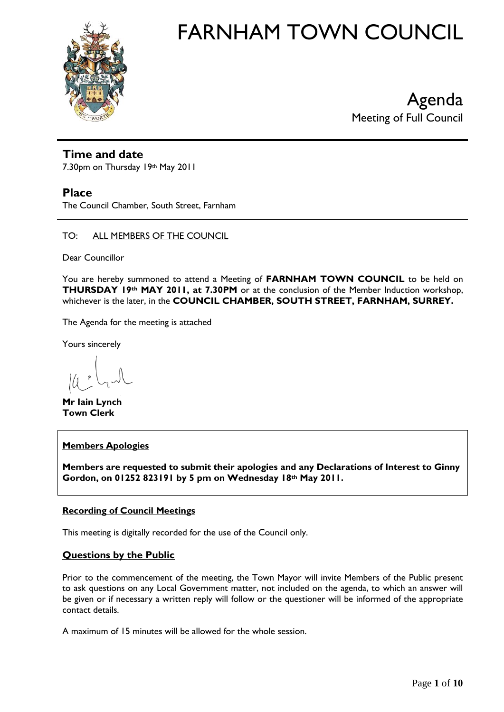

Agenda Meeting of Full Council

## **Time and date**

7.30pm on Thursday 19th May 2011

### **Place**

The Council Chamber, South Street, Farnham

TO: ALL MEMBERS OF THE COUNCIL

Dear Councillor

You are hereby summoned to attend a Meeting of **FARNHAM TOWN COUNCIL** to be held on **THURSDAY 19th MAY 2011, at 7.30PM** or at the conclusion of the Member Induction workshop, whichever is the later, in the **COUNCIL CHAMBER, SOUTH STREET, FARNHAM, SURREY.** 

The Agenda for the meeting is attached

Yours sincerely

**Mr Iain Lynch Town Clerk**

#### **Members Apologies**

**Members are requested to submit their apologies and any Declarations of Interest to Ginny Gordon, on 01252 823191 by 5 pm on Wednesday 18th May 2011.**

#### **Recording of Council Meetings**

This meeting is digitally recorded for the use of the Council only.

### **Questions by the Public**

Prior to the commencement of the meeting, the Town Mayor will invite Members of the Public present to ask questions on any Local Government matter, not included on the agenda, to which an answer will be given or if necessary a written reply will follow or the questioner will be informed of the appropriate contact details.

A maximum of 15 minutes will be allowed for the whole session.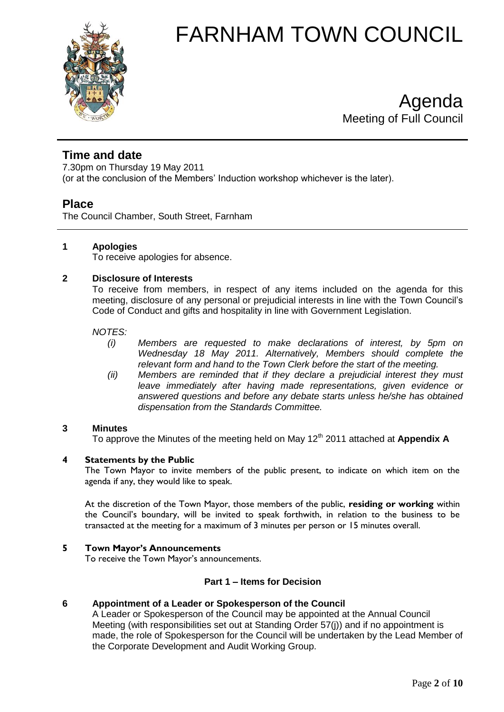

Agenda Meeting of Full Council

# **Time and date**

7.30pm on Thursday 19 May 2011 (or at the conclusion of the Members' Induction workshop whichever is the later).

# **Place**

The Council Chamber, South Street, Farnham

### **1 Apologies**

To receive apologies for absence.

### **2 Disclosure of Interests**

To receive from members, in respect of any items included on the agenda for this meeting, disclosure of any personal or prejudicial interests in line with the Town Council's Code of Conduct and gifts and hospitality in line with Government Legislation.

*NOTES:*

- *(i) Members are requested to make declarations of interest, by 5pm on Wednesday 18 May 2011. Alternatively, Members should complete the relevant form and hand to the Town Clerk before the start of the meeting.*
- *(ii) Members are reminded that if they declare a prejudicial interest they must leave immediately after having made representations, given evidence or answered questions and before any debate starts unless he/she has obtained dispensation from the Standards Committee.*

#### **3 Minutes**

To approve the Minutes of the meeting held on May 12<sup>th</sup> 2011 attached at **Appendix A** 

#### **4 Statements by the Public**

The Town Mayor to invite members of the public present, to indicate on which item on the agenda if any, they would like to speak.

At the discretion of the Town Mayor, those members of the public, **residing or working** within the Council's boundary, will be invited to speak forthwith, in relation to the business to be transacted at the meeting for a maximum of 3 minutes per person or 15 minutes overall.

#### **5 Town Mayor's Announcements**

To receive the Town Mayor's announcements.

#### **Part 1 – Items for Decision**

#### **6 Appointment of a Leader or Spokesperson of the Council**

A Leader or Spokesperson of the Council may be appointed at the Annual Council Meeting (with responsibilities set out at Standing Order 57(j)) and if no appointment is made, the role of Spokesperson for the Council will be undertaken by the Lead Member of the Corporate Development and Audit Working Group.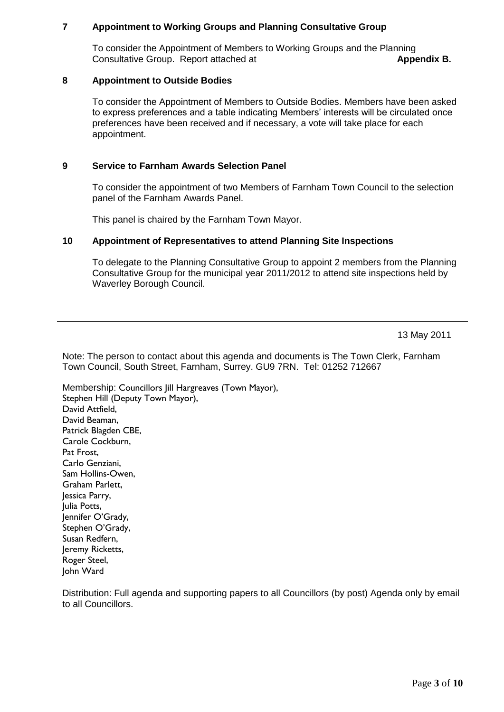#### **7 Appointment to Working Groups and Planning Consultative Group**

To consider the Appointment of Members to Working Groups and the Planning **Consultative Group. Report attached at <b>Appendix B. Appendix B.** 

#### **8 Appointment to Outside Bodies**

To consider the Appointment of Members to Outside Bodies. Members have been asked to express preferences and a table indicating Members' interests will be circulated once preferences have been received and if necessary, a vote will take place for each appointment.

### **9 Service to Farnham Awards Selection Panel**

To consider the appointment of two Members of Farnham Town Council to the selection panel of the Farnham Awards Panel.

This panel is chaired by the Farnham Town Mayor.

#### **10 Appointment of Representatives to attend Planning Site Inspections**

To delegate to the Planning Consultative Group to appoint 2 members from the Planning Consultative Group for the municipal year 2011/2012 to attend site inspections held by Waverley Borough Council.

13 May 2011

Note: The person to contact about this agenda and documents is The Town Clerk, Farnham Town Council, South Street, Farnham, Surrey. GU9 7RN. Tel: 01252 712667

Membership: Councillors Jill Hargreaves (Town Mayor), Stephen Hill (Deputy Town Mayor), David Attfield, David Beaman, Patrick Blagden CBE, Carole Cockburn, Pat Frost, Carlo Genziani, Sam Hollins-Owen, Graham Parlett, Jessica Parry, Julia Potts, lennifer O'Grady, Stephen O'Grady, Susan Redfern, Jeremy Ricketts, Roger Steel, John Ward

Distribution: Full agenda and supporting papers to all Councillors (by post) Agenda only by email to all Councillors.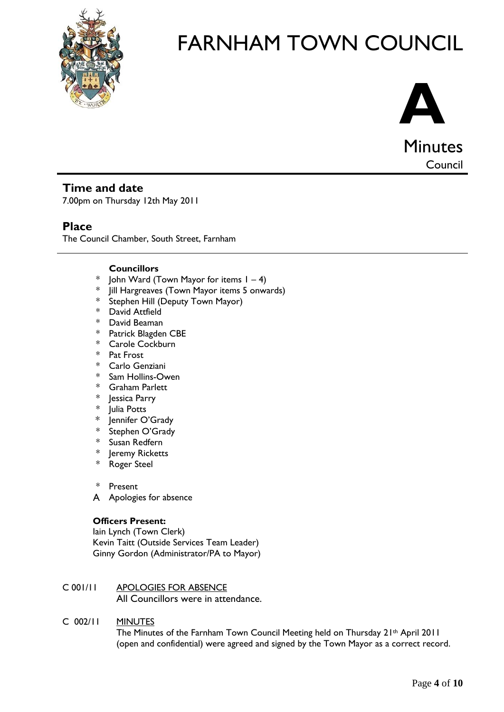



## **Time and date**

7.00pm on Thursday 12th May 2011

### **Place**

The Council Chamber, South Street, Farnham

#### **Councillors**

- \* John Ward (Town Mayor for items  $1 - 4$ )
- \* Jill Hargreaves (Town Mayor items 5 onwards)
- Stephen Hill (Deputy Town Mayor)
- \* David Attfield
- \* David Beaman
- \* Patrick Blagden CBE
- \* Carole Cockburn
- \* Pat Frost
- \* Carlo Genziani
- Sam Hollins-Owen
- \* Graham Parlett
- \* Jessica Parry
- Julia Potts
- \* Jennifer O'Grady
- \* Stephen O'Grady
- Susan Redfern
- Jeremy Ricketts
- \* Roger Steel
- \* Present
- A Apologies for absence

#### **Officers Present:**

Iain Lynch (Town Clerk) Kevin Taitt (Outside Services Team Leader) Ginny Gordon (Administrator/PA to Mayor)

C 001/11 APOLOGIES FOR ABSENCE All Councillors were in attendance.

#### C 002/11 MINUTES

The Minutes of the Farnham Town Council Meeting held on Thursday 21th April 2011 (open and confidential) were agreed and signed by the Town Mayor as a correct record.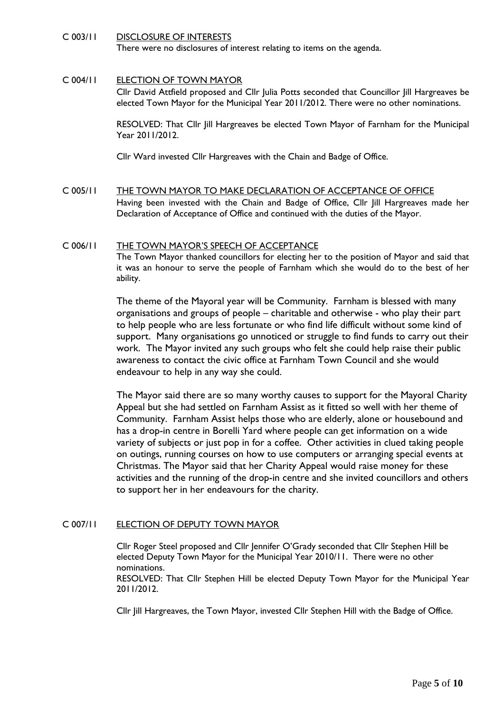#### C 003/11 DISCLOSURE OF INTERESTS

There were no disclosures of interest relating to items on the agenda.

#### C 004/11 ELECTION OF TOWN MAYOR

Cllr David Attfield proposed and Cllr Julia Potts seconded that Councillor Jill Hargreaves be elected Town Mayor for the Municipal Year 2011/2012. There were no other nominations.

RESOLVED: That Cllr Jill Hargreaves be elected Town Mayor of Farnham for the Municipal Year 2011/2012.

Cllr Ward invested Cllr Hargreaves with the Chain and Badge of Office.

C 005/11 THE TOWN MAYOR TO MAKE DECLARATION OF ACCEPTANCE OF OFFICE Having been invested with the Chain and Badge of Office, Cllr Jill Hargreaves made her Declaration of Acceptance of Office and continued with the duties of the Mayor.

#### C 006/11 THE TOWN MAYOR'S SPEECH OF ACCEPTANCE The Town Mayor thanked councillors for electing her to the position of Mayor and said that it was an honour to serve the people of Farnham which she would do to the best of her ability.

The theme of the Mayoral year will be Community. Farnham is blessed with many organisations and groups of people – charitable and otherwise - who play their part to help people who are less fortunate or who find life difficult without some kind of support. Many organisations go unnoticed or struggle to find funds to carry out their work. The Mayor invited any such groups who felt she could help raise their public awareness to contact the civic office at Farnham Town Council and she would endeavour to help in any way she could.

The Mayor said there are so many worthy causes to support for the Mayoral Charity Appeal but she had settled on Farnham Assist as it fitted so well with her theme of Community. Farnham Assist helps those who are elderly, alone or housebound and has a drop-in centre in Borelli Yard where people can get information on a wide variety of subjects or just pop in for a coffee. Other activities in clued taking people on outings, running courses on how to use computers or arranging special events at Christmas. The Mayor said that her Charity Appeal would raise money for these activities and the running of the drop-in centre and she invited councillors and others to support her in her endeavours for the charity.

#### C 007/11 ELECTION OF DEPUTY TOWN MAYOR

Cllr Roger Steel proposed and Cllr Jennifer O'Grady seconded that Cllr Stephen Hill be elected Deputy Town Mayor for the Municipal Year 2010/11. There were no other nominations.

RESOLVED: That Cllr Stephen Hill be elected Deputy Town Mayor for the Municipal Year 2011/2012.

Cllr Jill Hargreaves, the Town Mayor, invested Cllr Stephen Hill with the Badge of Office.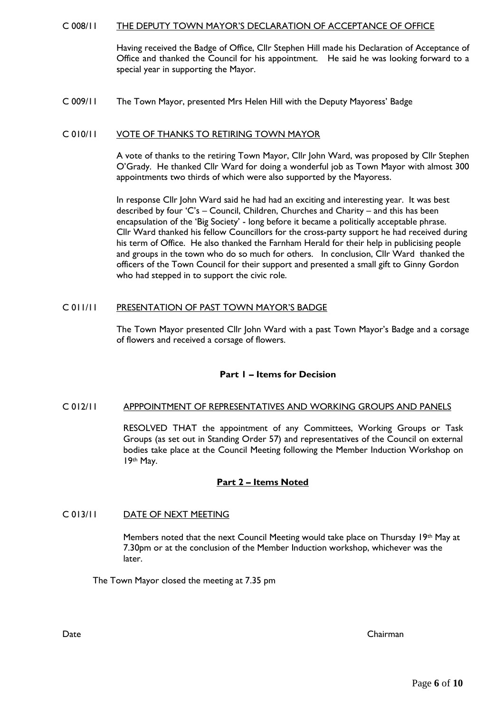#### C 008/11 THE DEPUTY TOWN MAYOR'S DECLARATION OF ACCEPTANCE OF OFFICE

Having received the Badge of Office, Cllr Stephen Hill made his Declaration of Acceptance of Office and thanked the Council for his appointment. He said he was looking forward to a special year in supporting the Mayor.

#### C 009/11 The Town Mayor, presented Mrs Helen Hill with the Deputy Mayoress' Badge

#### C 010/11 VOTE OF THANKS TO RETIRING TOWN MAYOR

A vote of thanks to the retiring Town Mayor, Cllr John Ward, was proposed by Cllr Stephen O'Grady. He thanked Cllr Ward for doing a wonderful job as Town Mayor with almost 300 appointments two thirds of which were also supported by the Mayoress.

In response Cllr John Ward said he had had an exciting and interesting year. It was best described by four 'C's – Council, Children, Churches and Charity – and this has been encapsulation of the 'Big Society' - long before it became a politically acceptable phrase. Cllr Ward thanked his fellow Councillors for the cross-party support he had received during his term of Office. He also thanked the Farnham Herald for their help in publicising people and groups in the town who do so much for others. In conclusion, Cllr Ward thanked the officers of the Town Council for their support and presented a small gift to Ginny Gordon who had stepped in to support the civic role.

#### C 011/11 PRESENTATION OF PAST TOWN MAYOR'S BADGE

The Town Mayor presented Cllr John Ward with a past Town Mayor's Badge and a corsage of flowers and received a corsage of flowers.

#### **Part 1 – Items for Decision**

#### C 012/11 APPPOINTMENT OF REPRESENTATIVES AND WORKING GROUPS AND PANELS

RESOLVED THAT the appointment of any Committees, Working Groups or Task Groups (as set out in Standing Order 57) and representatives of the Council on external bodies take place at the Council Meeting following the Member Induction Workshop on 19th May.

#### **Part 2 – Items Noted**

#### C 013/11 DATE OF NEXT MEETING

Members noted that the next Council Meeting would take place on Thursday 19th May at 7.30pm or at the conclusion of the Member Induction workshop, whichever was the later.

The Town Mayor closed the meeting at 7.35 pm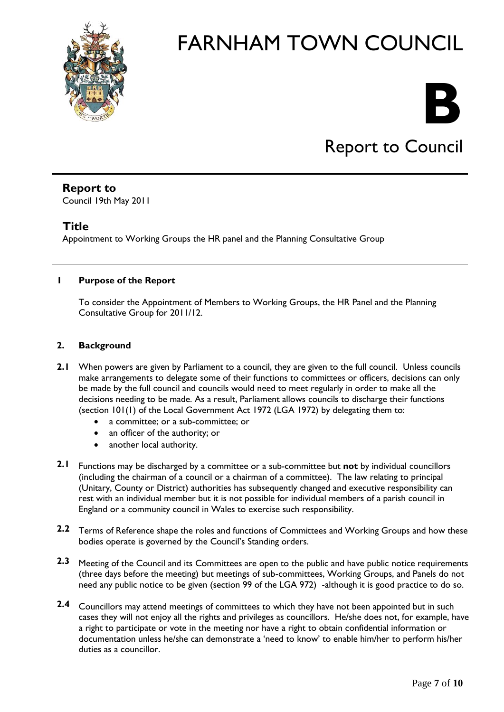



# Report to Council

# **Report to**

Council 19th May 2011

## **Title**

Appointment to Working Groups the HR panel and the Planning Consultative Group

### **1 Purpose of the Report**

To consider the Appointment of Members to Working Groups, the HR Panel and the Planning Consultative Group for 2011/12.

### **2. Background**

- 2.1 When powers are given by Parliament to a council, they are given to the full council. Unless councils make arrangements to delegate some of their functions to committees or officers, decisions can only be made by the full council and councils would need to meet regularly in order to make all the decisions needing to be made. As a result, Parliament allows councils to discharge their functions (section 101(1) of the Local Government Act 1972 (LGA 1972) by delegating them to:
	- a committee; or a sub-committee; or
	- an officer of the authority; or
	- another local authority.
- **2.1** Functions may be discharged by a committee or a sub-committee but **not** by individual councillors (including the chairman of a council or a chairman of a committee). The law relating to principal (Unitary, County or District) authorities has subsequently changed and executive responsibility can rest with an individual member but it is not possible for individual members of a parish council in England or a community council in Wales to exercise such responsibility.
- **2.2** Terms of Reference shape the roles and functions of Committees and Working Groups and how these bodies operate is governed by the Council's Standing orders.
- **2.3** Meeting of the Council and its Committees are open to the public and have public notice requirements (three days before the meeting) but meetings of sub-committees, Working Groups, and Panels do not need any public notice to be given (section 99 of the LGA 972) -although it is good practice to do so.
- **2.4** Councillors may attend meetings of committees to which they have not been appointed but in such cases they will not enjoy all the rights and privileges as councillors. He/she does not, for example, have a right to participate or vote in the meeting nor have a right to obtain confidential information or documentation unless he/she can demonstrate a 'need to know' to enable him/her to perform his/her duties as a councillor.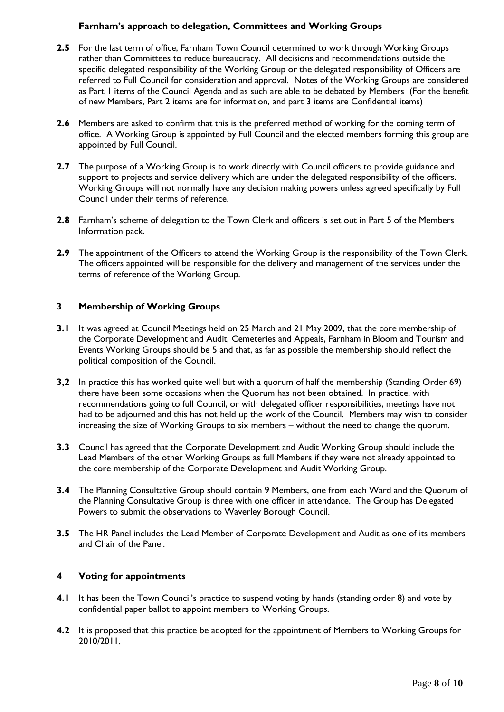#### **Farnham's approach to delegation, Committees and Working Groups**

- **2.5** For the last term of office, Farnham Town Council determined to work through Working Groups rather than Committees to reduce bureaucracy. All decisions and recommendations outside the specific delegated responsibility of the Working Group or the delegated responsibility of Officers are referred to Full Council for consideration and approval. Notes of the Working Groups are considered as Part 1 items of the Council Agenda and as such are able to be debated by Members (For the benefit of new Members, Part 2 items are for information, and part 3 items are Confidential items)
- **2.6** Members are asked to confirm that this is the preferred method of working for the coming term of office. A Working Group is appointed by Full Council and the elected members forming this group are appointed by Full Council.
- **2.7** The purpose of a Working Group is to work directly with Council officers to provide guidance and support to projects and service delivery which are under the delegated responsibility of the officers. Working Groups will not normally have any decision making powers unless agreed specifically by Full Council under their terms of reference.
- **2.8** Farnham's scheme of delegation to the Town Clerk and officers is set out in Part 5 of the Members Information pack.
- **2.9** The appointment of the Officers to attend the Working Group is the responsibility of the Town Clerk. The officers appointed will be responsible for the delivery and management of the services under the terms of reference of the Working Group.

#### **3 Membership of Working Groups**

- **3.1** It was agreed at Council Meetings held on 25 March and 21 May 2009, that the core membership of the Corporate Development and Audit, Cemeteries and Appeals, Farnham in Bloom and Tourism and Events Working Groups should be 5 and that, as far as possible the membership should reflect the political composition of the Council.
- **3,2** In practice this has worked quite well but with a quorum of half the membership (Standing Order 69) there have been some occasions when the Quorum has not been obtained. In practice, with recommendations going to full Council, or with delegated officer responsibilities, meetings have not had to be adjourned and this has not held up the work of the Council. Members may wish to consider increasing the size of Working Groups to six members – without the need to change the quorum.
- **3.3** Council has agreed that the Corporate Development and Audit Working Group should include the Lead Members of the other Working Groups as full Members if they were not already appointed to the core membership of the Corporate Development and Audit Working Group.
- **3.4** The Planning Consultative Group should contain 9 Members, one from each Ward and the Quorum of the Planning Consultative Group is three with one officer in attendance. The Group has Delegated Powers to submit the observations to Waverley Borough Council.
- **3.5** The HR Panel includes the Lead Member of Corporate Development and Audit as one of its members and Chair of the Panel.

#### **4 Voting for appointments**

- **4.1** It has been the Town Council's practice to suspend voting by hands (standing order 8) and vote by confidential paper ballot to appoint members to Working Groups.
- **4.2** It is proposed that this practice be adopted for the appointment of Members to Working Groups for 2010/2011.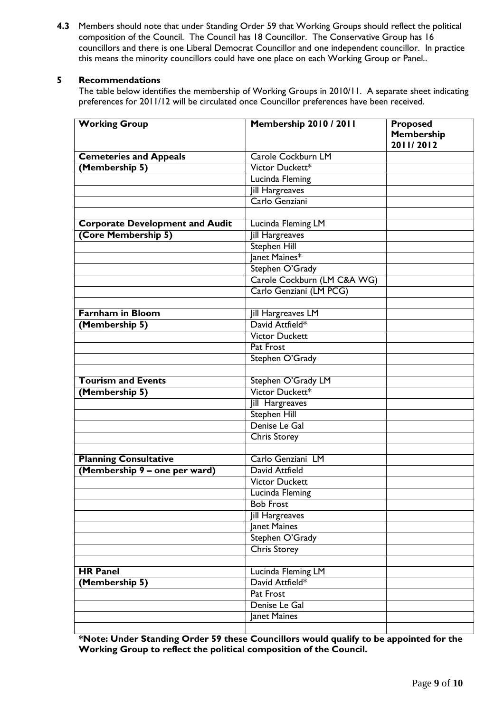**4.3** Members should note that under Standing Order 59 that Working Groups should reflect the political composition of the Council. The Council has 18 Councillor. The Conservative Group has 16 councillors and there is one Liberal Democrat Councillor and one independent councillor. In practice this means the minority councillors could have one place on each Working Group or Panel..

#### **5 Recommendations**

The table below identifies the membership of Working Groups in 2010/11. A separate sheet indicating preferences for 2011/12 will be circulated once Councillor preferences have been received.

| <b>Working Group</b>                   | <b>Membership 2010 / 2011</b> | <b>Proposed</b><br>Membership<br>2011/2012 |
|----------------------------------------|-------------------------------|--------------------------------------------|
| <b>Cemeteries and Appeals</b>          | Carole Cockburn LM            |                                            |
| (Membership 5)                         | Victor Duckett*               |                                            |
|                                        | Lucinda Fleming               |                                            |
|                                        | <b>Jill Hargreaves</b>        |                                            |
|                                        | Carlo Genziani                |                                            |
|                                        |                               |                                            |
| <b>Corporate Development and Audit</b> | Lucinda Fleming LM            |                                            |
| (Core Membership 5)                    | <b>Jill Hargreaves</b>        |                                            |
|                                        | <b>Stephen Hill</b>           |                                            |
|                                        | Janet Maines*                 |                                            |
|                                        | Stephen O'Grady               |                                            |
|                                        | Carole Cockburn (LM C&A WG)   |                                            |
|                                        | Carlo Genziani (LM PCG)       |                                            |
|                                        |                               |                                            |
| <b>Farnham in Bloom</b>                | Jill Hargreaves LM            |                                            |
| (Membership 5)                         | David Attfield*               |                                            |
|                                        | <b>Victor Duckett</b>         |                                            |
|                                        | Pat Frost                     |                                            |
|                                        | Stephen O'Grady               |                                            |
|                                        |                               |                                            |
| <b>Tourism and Events</b>              | Stephen O'Grady LM            |                                            |
| (Membership 5)                         | Victor Duckett*               |                                            |
|                                        | Jill Hargreaves               |                                            |
|                                        | <b>Stephen Hill</b>           |                                            |
|                                        | Denise Le Gal                 |                                            |
|                                        | <b>Chris Storey</b>           |                                            |
|                                        |                               |                                            |
| <b>Planning Consultative</b>           | Carlo Genziani LM             |                                            |
| (Membership 9 - one per ward)          | David Attfield                |                                            |
|                                        | <b>Victor Duckett</b>         |                                            |
|                                        | Lucinda Fleming               |                                            |
|                                        | <b>Bob Frost</b>              |                                            |
|                                        | Jill Hargreaves               |                                            |
|                                        | Janet Maines                  |                                            |
|                                        | Stephen O'Grady               |                                            |
|                                        | <b>Chris Storey</b>           |                                            |
|                                        |                               |                                            |
| <b>HR Panel</b>                        | Lucinda Fleming LM            |                                            |
| (Membership 5)                         | David Attfield*               |                                            |
|                                        | Pat Frost                     |                                            |
|                                        | Denise Le Gal                 |                                            |
|                                        | Janet Maines                  |                                            |
|                                        |                               |                                            |

**\*Note: Under Standing Order 59 these Councillors would qualify to be appointed for the Working Group to reflect the political composition of the Council.**